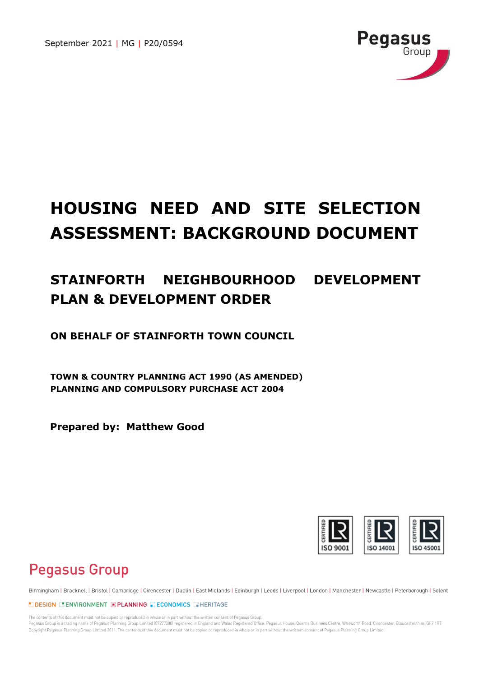September 2021 | MG | P20/0594



# **HOUSING NEED AND SITE SELECTION ASSESSMENT: BACKGROUND DOCUMENT**

## **STAINFORTH NEIGHBOURHOOD DEVELOPMENT PLAN & DEVELOPMENT ORDER**

**ON BEHALF OF STAINFORTH TOWN COUNCIL**

**TOWN & COUNTRY PLANNING ACT 1990 (AS AMENDED) PLANNING AND COMPULSORY PURCHASE ACT 2004**

**Prepared by: Matthew Good**



## **Pegasus Group**

Birmingham | Bracknell | Bristol | Cambridge | Cirencester | Dublin | East Midlands | Edinburgh | Leeds | Liverpool | London | Manchester | Newcastle | Peterborough | Solent

**EDESIGN ELENVIRONMENT EPLANNING EDECONOMICS ENERITAGE** 

The contents of this document must not be copied or reproduced in whole or in part without the written consent of Pegasus Group. Pegasus Group is a trading name of Pegasus Planning Group Limited (07277000) registered in England and Wales Registered Office: Pegasus House, Querns Business Centre, Whitworth Road, Cirencester, Gloucestershire, GL7 1RT Copyright Pegasus Planning Group Limited 2011. The contents of this document must not be copied or reproduced in whole or in part without the writtem consent of Pegasus Planning Group Limited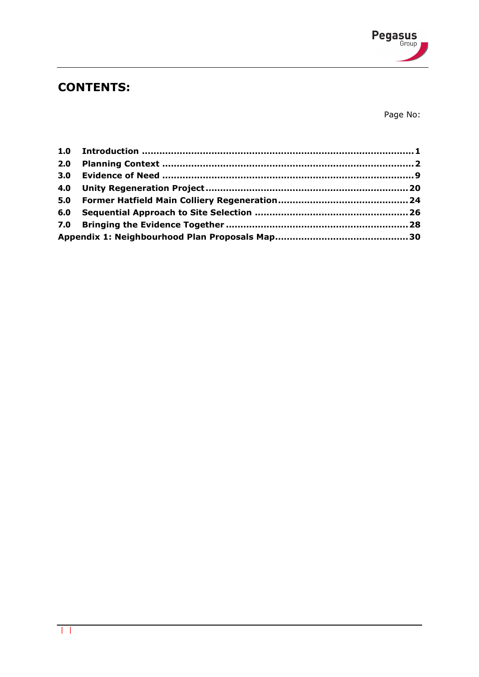

## **CONTENTS:**

Page No:

| 2.0 |  |
|-----|--|
|     |  |
|     |  |
|     |  |
|     |  |
|     |  |
|     |  |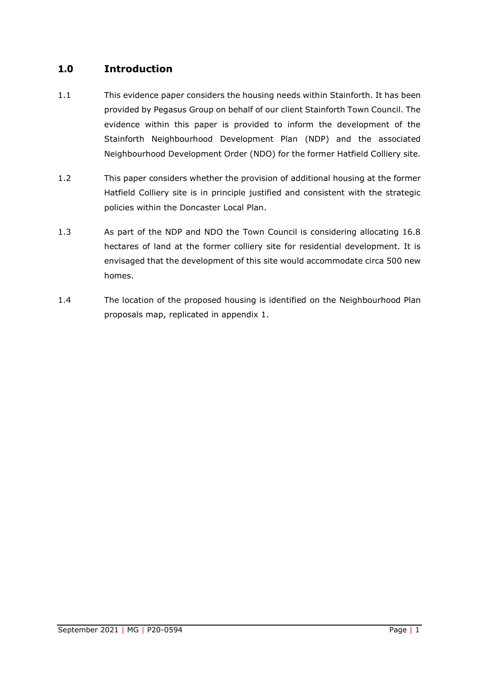## <span id="page-2-0"></span>**1.0 Introduction**

- 1.1 This evidence paper considers the housing needs within Stainforth. It has been provided by Pegasus Group on behalf of our client Stainforth Town Council. The evidence within this paper is provided to inform the development of the Stainforth Neighbourhood Development Plan (NDP) and the associated Neighbourhood Development Order (NDO) for the former Hatfield Colliery site.
- 1.2 This paper considers whether the provision of additional housing at the former Hatfield Colliery site is in principle justified and consistent with the strategic policies within the Doncaster Local Plan.
- 1.3 As part of the NDP and NDO the Town Council is considering allocating 16.8 hectares of land at the former colliery site for residential development. It is envisaged that the development of this site would accommodate circa 500 new homes.
- 1.4 The location of the proposed housing is identified on the Neighbourhood Plan proposals map, replicated in appendix 1.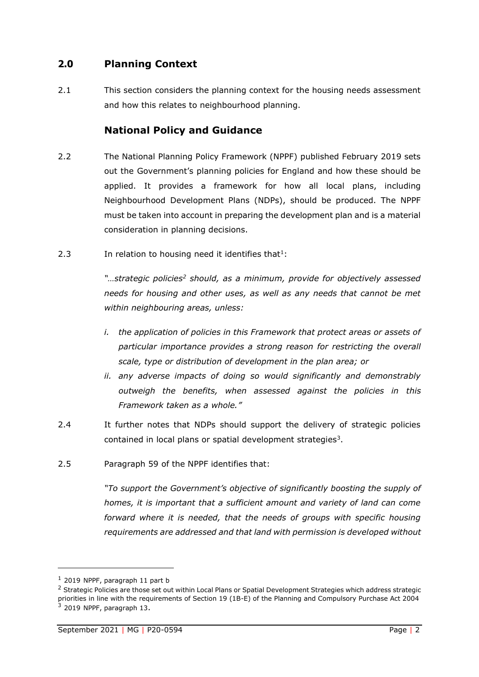## <span id="page-3-0"></span>**2.0 Planning Context**

2.1 This section considers the planning context for the housing needs assessment and how this relates to neighbourhood planning.

## **National Policy and Guidance**

- 2.2 The National Planning Policy Framework (NPPF) published February 2019 sets out the Government's planning policies for England and how these should be applied. It provides a framework for how all local plans, including Neighbourhood Development Plans (NDPs), should be produced. The NPPF must be taken into account in preparing the development plan and is a material consideration in planning decisions.
- 2.3 In relation to housing need it identifies that<sup>1</sup>:

*"…strategic policies<sup>2</sup> should, as a minimum, provide for objectively assessed needs for housing and other uses, as well as any needs that cannot be met within neighbouring areas, unless:* 

- *i. the application of policies in this Framework that protect areas or assets of particular importance provides a strong reason for restricting the overall scale, type or distribution of development in the plan area; or*
- *ii. any adverse impacts of doing so would significantly and demonstrably outweigh the benefits, when assessed against the policies in this Framework taken as a whole."*
- 2.4 It further notes that NDPs should support the delivery of strategic policies contained in local plans or spatial development strategies<sup>3</sup>.
- 2.5 Paragraph 59 of the NPPF identifies that:

*"To support the Government's objective of significantly boosting the supply of homes, it is important that a sufficient amount and variety of land can come forward where it is needed, that the needs of groups with specific housing requirements are addressed and that land with permission is developed without* 

 $1$  2019 NPPF, paragraph 11 part b

<sup>&</sup>lt;sup>2</sup> Strategic Policies are those set out within Local Plans or Spatial Development Strategies which address strategic priorities in line with the requirements of Section 19 (1B-E) of the Planning and Compulsory Purchase Act 2004  $3$  2019 NPPF, paragraph 13.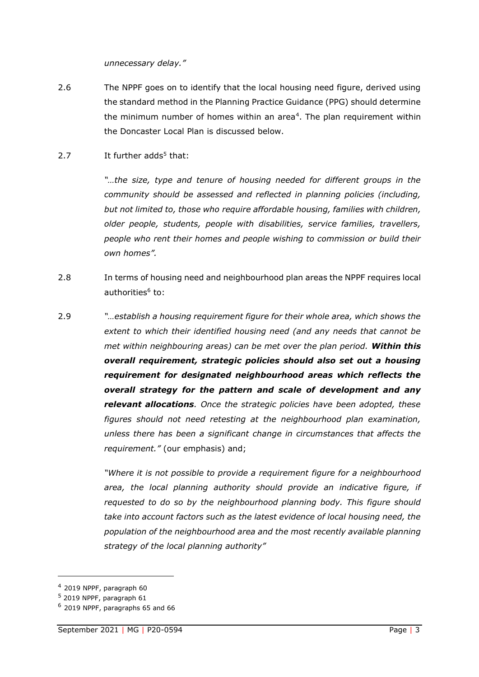*unnecessary delay."*

- 2.6 The NPPF goes on to identify that the local housing need figure, derived using the standard method in the Planning Practice Guidance (PPG) should determine the minimum number of homes within an area<sup>4</sup>. The plan requirement within the Doncaster Local Plan is discussed below.
- 2.7 It further  $adds<sup>5</sup>$  that:

*"…the size, type and tenure of housing needed for different groups in the community should be assessed and reflected in planning policies (including, but not limited to, those who require affordable housing, families with children, older people, students, people with disabilities, service families, travellers, people who rent their homes and people wishing to commission or build their own homes".*

- 2.8 In terms of housing need and neighbourhood plan areas the NPPF requires local authorities<sup>6</sup> to:
- 2.9 *"…establish a housing requirement figure for their whole area, which shows the extent to which their identified housing need (and any needs that cannot be met within neighbouring areas) can be met over the plan period. Within this overall requirement, strategic policies should also set out a housing requirement for designated neighbourhood areas which reflects the overall strategy for the pattern and scale of development and any relevant allocations. Once the strategic policies have been adopted, these figures should not need retesting at the neighbourhood plan examination, unless there has been a significant change in circumstances that affects the requirement."* (our emphasis) and;

*"Where it is not possible to provide a requirement figure for a neighbourhood area, the local planning authority should provide an indicative figure, if requested to do so by the neighbourhood planning body. This figure should take into account factors such as the latest evidence of local housing need, the population of the neighbourhood area and the most recently available planning strategy of the local planning authority"*

<sup>4</sup> 2019 NPPF, paragraph 60

<sup>5</sup> 2019 NPPF, paragraph 61

<sup>6</sup> 2019 NPPF, paragraphs 65 and 66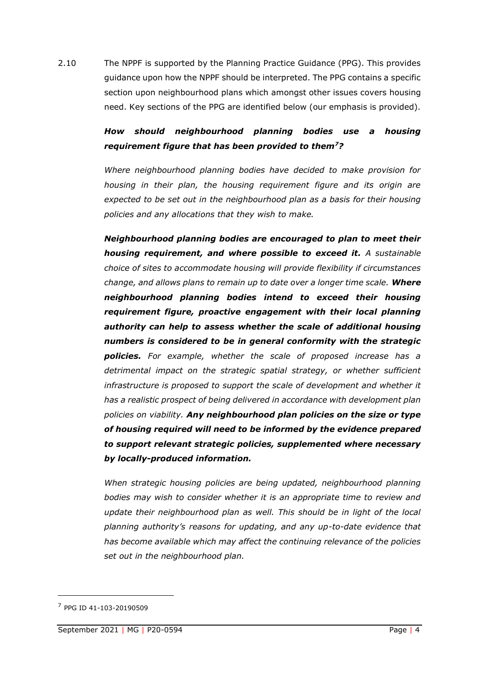2.10 The NPPF is supported by the Planning Practice Guidance (PPG). This provides guidance upon how the NPPF should be interpreted. The PPG contains a specific section upon neighbourhood plans which amongst other issues covers housing need. Key sections of the PPG are identified below (our emphasis is provided).

## *How should neighbourhood planning bodies use a housing requirement figure that has been provided to them<sup>7</sup>?*

*Where neighbourhood planning bodies have decided to make provision for housing in their plan, the housing requirement figure and its origin are expected to be set out in the neighbourhood plan as a basis for their housing policies and any allocations that they wish to make.*

*Neighbourhood planning bodies are encouraged to plan to meet their housing requirement, and where possible to exceed it. A sustainable choice of sites to accommodate housing will provide flexibility if circumstances change, and allows plans to remain up to date over a longer time scale. Where neighbourhood planning bodies intend to exceed their housing requirement figure, proactive engagement with their local planning authority can help to assess whether the scale of additional housing numbers is considered to be in general conformity with the strategic policies. For example, whether the scale of proposed increase has a detrimental impact on the strategic spatial strategy, or whether sufficient infrastructure is proposed to support the scale of development and whether it has a realistic prospect of being delivered in accordance with development plan policies on viability. Any neighbourhood plan policies on the size or type of housing required will need to be informed by the evidence prepared to support relevant strategic policies, supplemented where necessary by locally-produced information.*

*When strategic housing policies are being updated, neighbourhood planning bodies may wish to consider whether it is an appropriate time to review and*  update their neighbourhood plan as well. This should be in light of the local *planning authority's reasons for updating, and any up-to-date evidence that has become available which may affect the continuing relevance of the policies set out in the neighbourhood plan.*

<sup>7</sup> PPG ID 41-103-20190509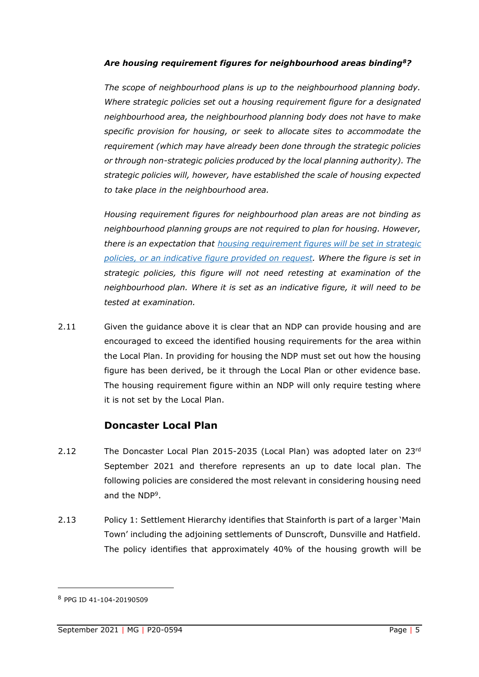#### *Are housing requirement figures for neighbourhood areas binding<sup>8</sup>?*

*The scope of neighbourhood plans is up to the neighbourhood planning body. Where strategic policies set out a housing requirement figure for a designated neighbourhood area, the neighbourhood planning body does not have to make specific provision for housing, or seek to allocate sites to accommodate the requirement (which may have already been done through the strategic policies or through non-strategic policies produced by the local planning authority). The strategic policies will, however, have established the scale of housing expected to take place in the neighbourhood area.*

*Housing requirement figures for neighbourhood plan areas are not binding as neighbourhood planning groups are not required to plan for housing. However, there is an expectation that housing [requirement](https://www.gov.uk/guidance/neighbourhood-planning--2#para101) figures will be set in strategic policies, or an [indicative](https://www.gov.uk/guidance/neighbourhood-planning--2#para101) figure provided on request. Where the figure is set in strategic policies, this figure will not need retesting at examination of the neighbourhood plan. Where it is set as an indicative figure, it will need to be tested at examination.*

2.11 Given the guidance above it is clear that an NDP can provide housing and are encouraged to exceed the identified housing requirements for the area within the Local Plan. In providing for housing the NDP must set out how the housing figure has been derived, be it through the Local Plan or other evidence base. The housing requirement figure within an NDP will only require testing where it is not set by the Local Plan.

## **Doncaster Local Plan**

- 2.12 The Doncaster Local Plan 2015-2035 (Local Plan) was adopted later on 23rd September 2021 and therefore represents an up to date local plan. The following policies are considered the most relevant in considering housing need and the NDP<sup>9</sup> .
- 2.13 Policy 1: Settlement Hierarchy identifies that Stainforth is part of a larger 'Main Town' including the adjoining settlements of Dunscroft, Dunsville and Hatfield. The policy identifies that approximately 40% of the housing growth will be

<sup>8</sup> PPG ID 41-104-20190509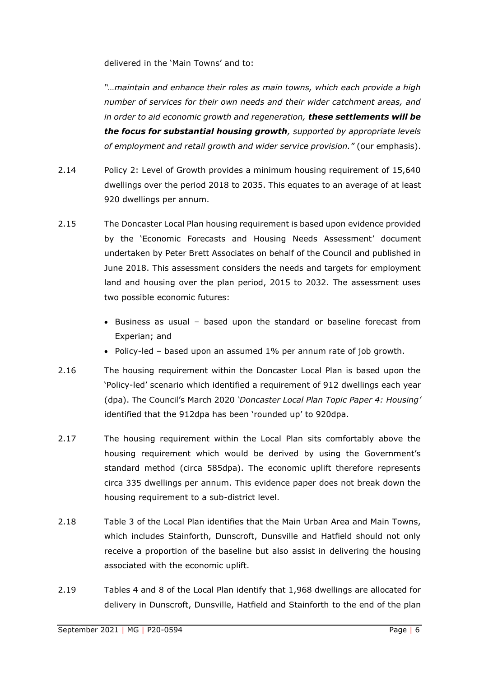delivered in the 'Main Towns' and to:

*"…maintain and enhance their roles as main towns, which each provide a high number of services for their own needs and their wider catchment areas, and in order to aid economic growth and regeneration, these settlements will be the focus for substantial housing growth, supported by appropriate levels of employment and retail growth and wider service provision."* (our emphasis).

- 2.14 Policy 2: Level of Growth provides a minimum housing requirement of 15,640 dwellings over the period 2018 to 2035. This equates to an average of at least 920 dwellings per annum.
- 2.15 The Doncaster Local Plan housing requirement is based upon evidence provided by the 'Economic Forecasts and Housing Needs Assessment' document undertaken by Peter Brett Associates on behalf of the Council and published in June 2018. This assessment considers the needs and targets for employment land and housing over the plan period, 2015 to 2032. The assessment uses two possible economic futures:
	- Business as usual based upon the standard or baseline forecast from Experian; and
	- Policy-led based upon an assumed 1% per annum rate of job growth.
- 2.16 The housing requirement within the Doncaster Local Plan is based upon the 'Policy-led' scenario which identified a requirement of 912 dwellings each year (dpa). The Council's March 2020 *'Doncaster Local Plan Topic Paper 4: Housing'* identified that the 912dpa has been 'rounded up' to 920dpa.
- 2.17 The housing requirement within the Local Plan sits comfortably above the housing requirement which would be derived by using the Government's standard method (circa 585dpa). The economic uplift therefore represents circa 335 dwellings per annum. This evidence paper does not break down the housing requirement to a sub-district level.
- 2.18 Table 3 of the Local Plan identifies that the Main Urban Area and Main Towns, which includes Stainforth, Dunscroft, Dunsville and Hatfield should not only receive a proportion of the baseline but also assist in delivering the housing associated with the economic uplift.
- 2.19 Tables 4 and 8 of the Local Plan identify that 1,968 dwellings are allocated for delivery in Dunscroft, Dunsville, Hatfield and Stainforth to the end of the plan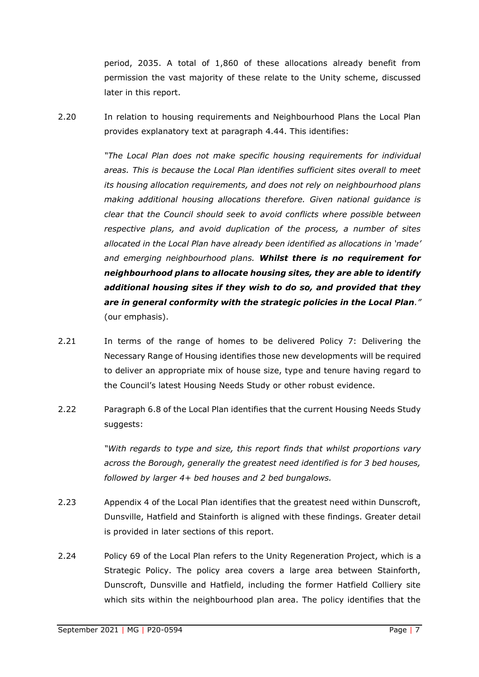period, 2035. A total of 1,860 of these allocations already benefit from permission the vast majority of these relate to the Unity scheme, discussed later in this report.

2.20 In relation to housing requirements and Neighbourhood Plans the Local Plan provides explanatory text at paragraph 4.44. This identifies:

> *"The Local Plan does not make specific housing requirements for individual areas. This is because the Local Plan identifies sufficient sites overall to meet its housing allocation requirements, and does not rely on neighbourhood plans making additional housing allocations therefore. Given national guidance is clear that the Council should seek to avoid conflicts where possible between respective plans, and avoid duplication of the process, a number of sites allocated in the Local Plan have already been identified as allocations in 'made' and emerging neighbourhood plans. Whilst there is no requirement for neighbourhood plans to allocate housing sites, they are able to identify additional housing sites if they wish to do so, and provided that they are in general conformity with the strategic policies in the Local Plan."*  (our emphasis).

- 2.21 In terms of the range of homes to be delivered Policy 7: Delivering the Necessary Range of Housing identifies those new developments will be required to deliver an appropriate mix of house size, type and tenure having regard to the Council's latest Housing Needs Study or other robust evidence.
- 2.22 Paragraph 6.8 of the Local Plan identifies that the current Housing Needs Study suggests:

*"With regards to type and size, this report finds that whilst proportions vary across the Borough, generally the greatest need identified is for 3 bed houses, followed by larger 4+ bed houses and 2 bed bungalows.* 

- 2.23 Appendix 4 of the Local Plan identifies that the greatest need within Dunscroft, Dunsville, Hatfield and Stainforth is aligned with these findings. Greater detail is provided in later sections of this report.
- 2.24 Policy 69 of the Local Plan refers to the Unity Regeneration Project, which is a Strategic Policy. The policy area covers a large area between Stainforth, Dunscroft, Dunsville and Hatfield, including the former Hatfield Colliery site which sits within the neighbourhood plan area. The policy identifies that the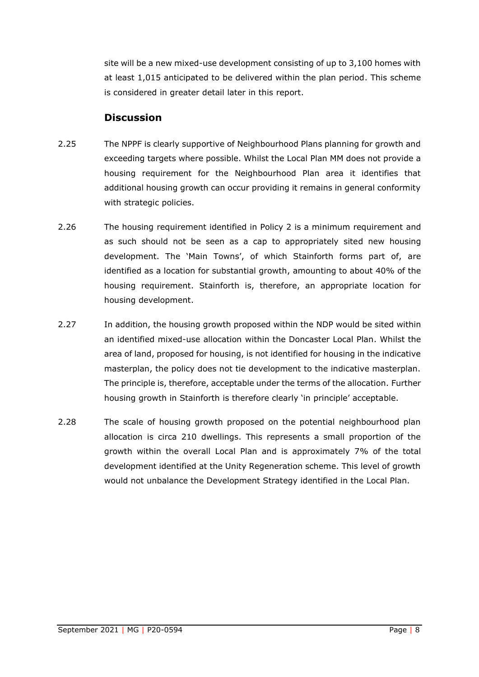site will be a new mixed-use development consisting of up to 3,100 homes with at least 1,015 anticipated to be delivered within the plan period. This scheme is considered in greater detail later in this report.

## **Discussion**

- 2.25 The NPPF is clearly supportive of Neighbourhood Plans planning for growth and exceeding targets where possible. Whilst the Local Plan MM does not provide a housing requirement for the Neighbourhood Plan area it identifies that additional housing growth can occur providing it remains in general conformity with strategic policies.
- 2.26 The housing requirement identified in Policy 2 is a minimum requirement and as such should not be seen as a cap to appropriately sited new housing development. The 'Main Towns', of which Stainforth forms part of, are identified as a location for substantial growth, amounting to about 40% of the housing requirement. Stainforth is, therefore, an appropriate location for housing development.
- 2.27 In addition, the housing growth proposed within the NDP would be sited within an identified mixed-use allocation within the Doncaster Local Plan. Whilst the area of land, proposed for housing, is not identified for housing in the indicative masterplan, the policy does not tie development to the indicative masterplan. The principle is, therefore, acceptable under the terms of the allocation. Further housing growth in Stainforth is therefore clearly 'in principle' acceptable.
- 2.28 The scale of housing growth proposed on the potential neighbourhood plan allocation is circa 210 dwellings. This represents a small proportion of the growth within the overall Local Plan and is approximately 7% of the total development identified at the Unity Regeneration scheme. This level of growth would not unbalance the Development Strategy identified in the Local Plan.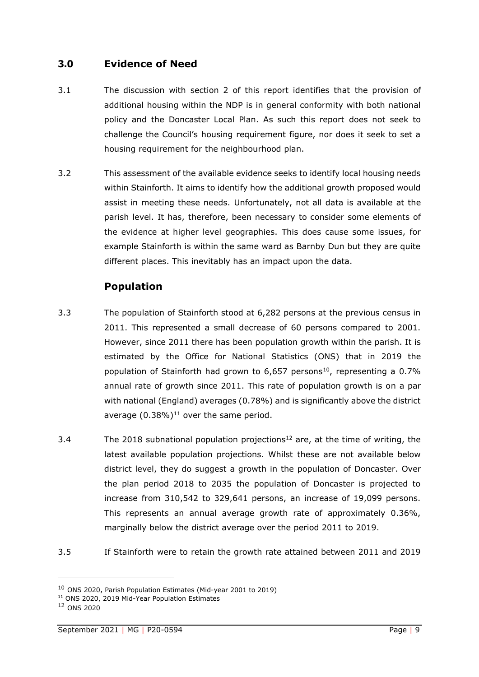## <span id="page-10-0"></span>**3.0 Evidence of Need**

- 3.1 The discussion with section 2 of this report identifies that the provision of additional housing within the NDP is in general conformity with both national policy and the Doncaster Local Plan. As such this report does not seek to challenge the Council's housing requirement figure, nor does it seek to set a housing requirement for the neighbourhood plan.
- 3.2 This assessment of the available evidence seeks to identify local housing needs within Stainforth. It aims to identify how the additional growth proposed would assist in meeting these needs. Unfortunately, not all data is available at the parish level. It has, therefore, been necessary to consider some elements of the evidence at higher level geographies. This does cause some issues, for example Stainforth is within the same ward as Barnby Dun but they are quite different places. This inevitably has an impact upon the data.

## **Population**

- 3.3 The population of Stainforth stood at 6,282 persons at the previous census in 2011. This represented a small decrease of 60 persons compared to 2001. However, since 2011 there has been population growth within the parish. It is estimated by the Office for National Statistics (ONS) that in 2019 the population of Stainforth had grown to  $6,657$  persons<sup>10</sup>, representing a 0.7% annual rate of growth since 2011. This rate of population growth is on a par with national (England) averages (0.78%) and is significantly above the district average  $(0.38\%)$ <sup>11</sup> over the same period.
- 3.4 The 2018 subnational population projections<sup>12</sup> are, at the time of writing, the latest available population projections. Whilst these are not available below district level, they do suggest a growth in the population of Doncaster. Over the plan period 2018 to 2035 the population of Doncaster is projected to increase from 310,542 to 329,641 persons, an increase of 19,099 persons. This represents an annual average growth rate of approximately 0.36%, marginally below the district average over the period 2011 to 2019.
- 3.5 If Stainforth were to retain the growth rate attained between 2011 and 2019

<sup>10</sup> ONS 2020, Parish Population Estimates (Mid-year 2001 to 2019)

<sup>11</sup> ONS 2020, 2019 Mid-Year Population Estimates

<sup>12</sup> ONS 2020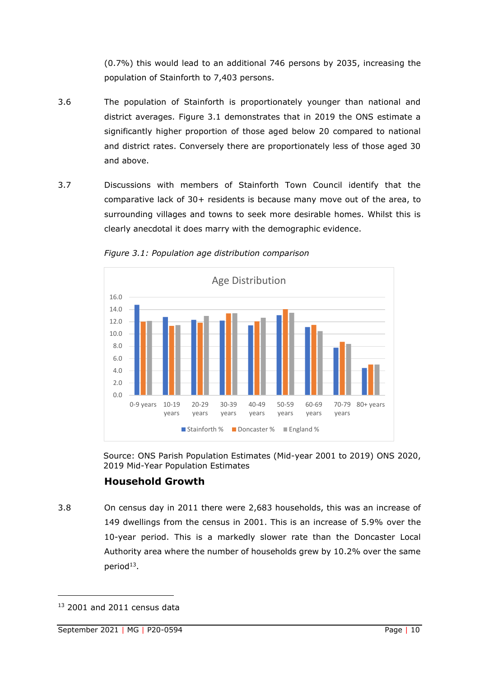(0.7%) this would lead to an additional 746 persons by 2035, increasing the population of Stainforth to 7,403 persons.

- 3.6 The population of Stainforth is proportionately younger than national and district averages. Figure 3.1 demonstrates that in 2019 the ONS estimate a significantly higher proportion of those aged below 20 compared to national and district rates. Conversely there are proportionately less of those aged 30 and above.
- 3.7 Discussions with members of Stainforth Town Council identify that the comparative lack of 30+ residents is because many move out of the area, to surrounding villages and towns to seek more desirable homes. Whilst this is clearly anecdotal it does marry with the demographic evidence.



*Figure 3.1: Population age distribution comparison*

Source: ONS Parish Population Estimates (Mid-year 2001 to 2019) ONS 2020, 2019 Mid-Year Population Estimates

## **Household Growth**

3.8 On census day in 2011 there were 2,683 households, this was an increase of 149 dwellings from the census in 2001. This is an increase of 5.9% over the 10-year period. This is a markedly slower rate than the Doncaster Local Authority area where the number of households grew by 10.2% over the same  $period<sup>13</sup>$ .

<sup>&</sup>lt;sup>13</sup> 2001 and 2011 census data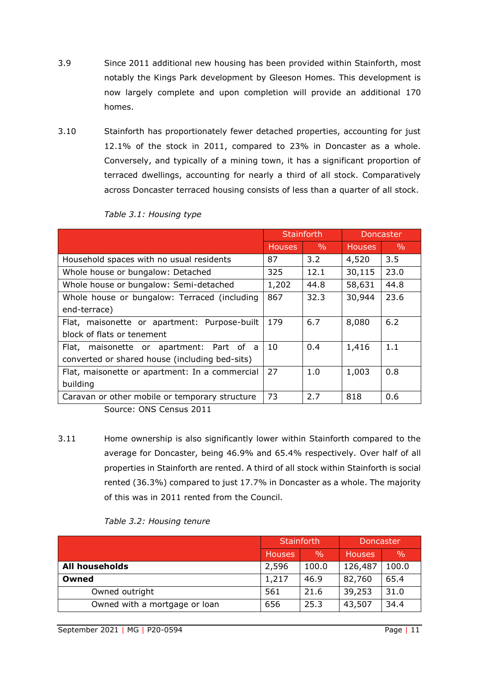- 3.9 Since 2011 additional new housing has been provided within Stainforth, most notably the Kings Park development by Gleeson Homes. This development is now largely complete and upon completion will provide an additional 170 homes.
- 3.10 Stainforth has proportionately fewer detached properties, accounting for just 12.1% of the stock in 2011, compared to 23% in Doncaster as a whole. Conversely, and typically of a mining town, it has a significant proportion of terraced dwellings, accounting for nearly a third of all stock. Comparatively across Doncaster terraced housing consists of less than a quarter of all stock.

|               |               | <b>Doncaster</b>  |               |  |
|---------------|---------------|-------------------|---------------|--|
| <b>Houses</b> | $\frac{0}{0}$ | <b>Houses</b>     | $\frac{0}{0}$ |  |
| 87            | $3.2^{\circ}$ | 4,520             | 3.5           |  |
| 325           | 12.1          | 30,115            | 23.0          |  |
| 1,202         | 44.8          | 58,631            | 44.8          |  |
| 867           | 32.3          | 30,944            | 23.6          |  |
|               |               |                   |               |  |
| 179           | 6.7           | 8,080             | 6.2           |  |
|               |               |                   |               |  |
| 10            | 0.4           | 1,416             | 1.1           |  |
|               |               |                   |               |  |
| 27            | 1.0           | 1,003             | 0.8           |  |
|               |               |                   |               |  |
| 73            | 2.7           | 818               | 0.6           |  |
|               |               | <b>Stainforth</b> |               |  |

*Table 3.1: Housing type*

Source: ONS Census 2011

3.11 Home ownership is also significantly lower within Stainforth compared to the average for Doncaster, being 46.9% and 65.4% respectively. Over half of all properties in Stainforth are rented. A third of all stock within Stainforth is social rented (36.3%) compared to just 17.7% in Doncaster as a whole. The majority of this was in 2011 rented from the Council.

|                               |         | Stainforth    | Doncaster     |               |  |
|-------------------------------|---------|---------------|---------------|---------------|--|
|                               | Houses, | $\frac{0}{0}$ | <b>Houses</b> | $\frac{0}{0}$ |  |
| <b>All households</b>         | 2,596   | 100.0         | 126,487       | 100.0         |  |
| Owned                         | 1,217   | 46.9          | 82,760        | 65.4          |  |
| Owned outright                | 561     | 21.6          | 39,253        | 31.0          |  |
| Owned with a mortgage or loan | 656     | 25.3          | 43,507        | 34.4          |  |

#### *Table 3.2: Housing tenure*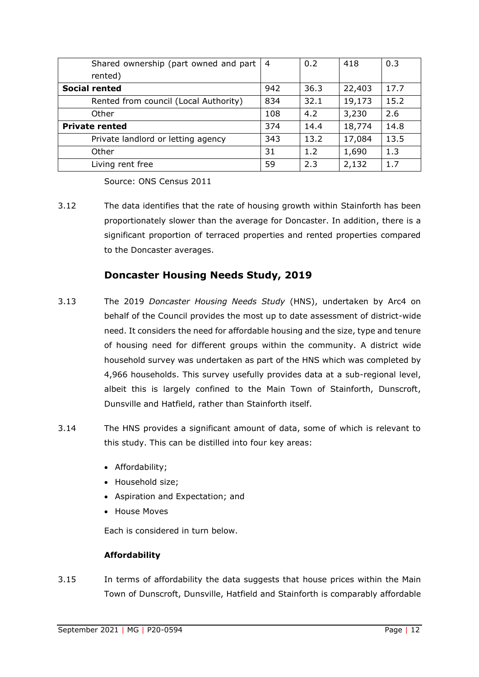| Shared ownership (part owned and part $ 4$ |     | 0.2  | 418    | 0.3  |
|--------------------------------------------|-----|------|--------|------|
| rented)                                    |     |      |        |      |
| <b>Social rented</b>                       | 942 | 36.3 | 22,403 | 17.7 |
| Rented from council (Local Authority)      | 834 | 32.1 | 19,173 | 15.2 |
| Other                                      | 108 | 4.2  | 3,230  | 2.6  |
| <b>Private rented</b>                      | 374 | 14.4 | 18,774 | 14.8 |
| Private landlord or letting agency         | 343 | 13.2 | 17,084 | 13.5 |
| Other                                      | 31  | 1.2  | 1,690  | 1.3  |
| Living rent free                           | 59  | 2.3  | 2,132  | 1.7  |

Source: ONS Census 2011

3.12 The data identifies that the rate of housing growth within Stainforth has been proportionately slower than the average for Doncaster. In addition, there is a significant proportion of terraced properties and rented properties compared to the Doncaster averages.

## **Doncaster Housing Needs Study, 2019**

- 3.13 The 2019 *Doncaster Housing Needs Study* (HNS), undertaken by Arc4 on behalf of the Council provides the most up to date assessment of district-wide need. It considers the need for affordable housing and the size, type and tenure of housing need for different groups within the community. A district wide household survey was undertaken as part of the HNS which was completed by 4,966 households. This survey usefully provides data at a sub-regional level, albeit this is largely confined to the Main Town of Stainforth, Dunscroft, Dunsville and Hatfield, rather than Stainforth itself.
- 3.14 The HNS provides a significant amount of data, some of which is relevant to this study. This can be distilled into four key areas:
	- Affordability;
	- Household size;
	- Aspiration and Expectation; and
	- House Moves

Each is considered in turn below.

#### **Affordability**

3.15 In terms of affordability the data suggests that house prices within the Main Town of Dunscroft, Dunsville, Hatfield and Stainforth is comparably affordable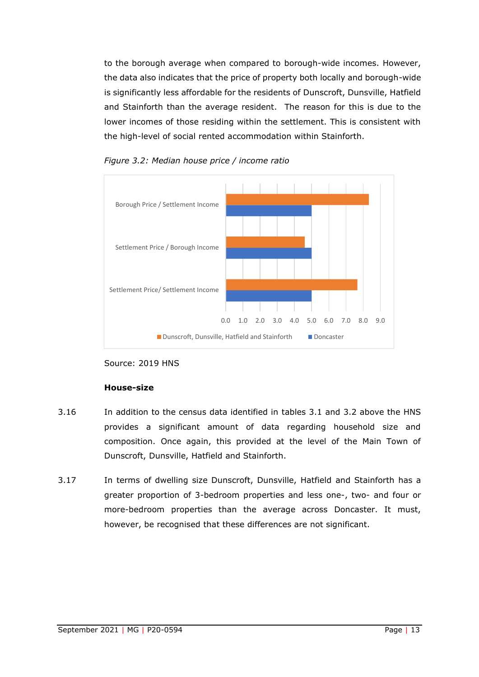to the borough average when compared to borough-wide incomes. However, the data also indicates that the price of property both locally and borough-wide is significantly less affordable for the residents of Dunscroft, Dunsville, Hatfield and Stainforth than the average resident. The reason for this is due to the lower incomes of those residing within the settlement. This is consistent with the high-level of social rented accommodation within Stainforth.





#### **House-size**

- 3.16 In addition to the census data identified in tables 3.1 and 3.2 above the HNS provides a significant amount of data regarding household size and composition. Once again, this provided at the level of the Main Town of Dunscroft, Dunsville, Hatfield and Stainforth.
- 3.17 In terms of dwelling size Dunscroft, Dunsville, Hatfield and Stainforth has a greater proportion of 3-bedroom properties and less one-, two- and four or more-bedroom properties than the average across Doncaster. It must, however, be recognised that these differences are not significant.

Source: 2019 HNS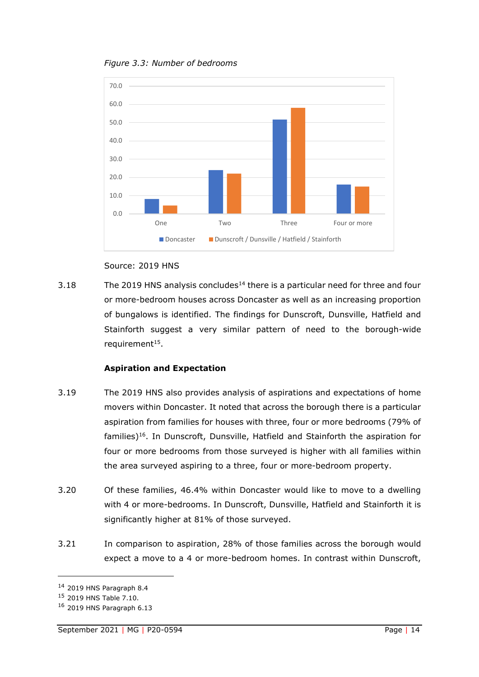



Source: 2019 HNS

3.18 The 2019 HNS analysis concludes<sup>14</sup> there is a particular need for three and four or more-bedroom houses across Doncaster as well as an increasing proportion of bungalows is identified. The findings for Dunscroft, Dunsville, Hatfield and Stainforth suggest a very similar pattern of need to the borough-wide requirement<sup>15</sup>.

#### **Aspiration and Expectation**

- 3.19 The 2019 HNS also provides analysis of aspirations and expectations of home movers within Doncaster. It noted that across the borough there is a particular aspiration from families for houses with three, four or more bedrooms (79% of families)<sup>16</sup>. In Dunscroft, Dunsville, Hatfield and Stainforth the aspiration for four or more bedrooms from those surveyed is higher with all families within the area surveyed aspiring to a three, four or more-bedroom property.
- 3.20 Of these families, 46.4% within Doncaster would like to move to a dwelling with 4 or more-bedrooms. In Dunscroft, Dunsville, Hatfield and Stainforth it is significantly higher at 81% of those surveyed.
- 3.21 In comparison to aspiration, 28% of those families across the borough would expect a move to a 4 or more-bedroom homes. In contrast within Dunscroft,

<sup>14</sup> 2019 HNS Paragraph 8.4

<sup>15</sup> 2019 HNS Table 7.10.

<sup>16</sup> 2019 HNS Paragraph 6.13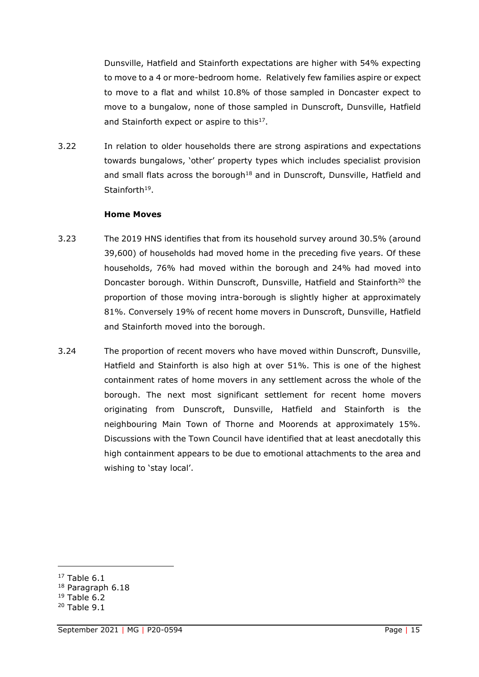Dunsville, Hatfield and Stainforth expectations are higher with 54% expecting to move to a 4 or more-bedroom home. Relatively few families aspire or expect to move to a flat and whilst 10.8% of those sampled in Doncaster expect to move to a bungalow, none of those sampled in Dunscroft, Dunsville, Hatfield and Stainforth expect or aspire to this<sup>17</sup>.

3.22 In relation to older households there are strong aspirations and expectations towards bungalows, 'other' property types which includes specialist provision and small flats across the borough<sup>18</sup> and in Dunscroft, Dunsville, Hatfield and Stainforth<sup>19</sup>.

#### **Home Moves**

- 3.23 The 2019 HNS identifies that from its household survey around 30.5% (around 39,600) of households had moved home in the preceding five years. Of these households, 76% had moved within the borough and 24% had moved into Doncaster borough. Within Dunscroft, Dunsville, Hatfield and Stainforth<sup>20</sup> the proportion of those moving intra-borough is slightly higher at approximately 81%. Conversely 19% of recent home movers in Dunscroft, Dunsville, Hatfield and Stainforth moved into the borough.
- 3.24 The proportion of recent movers who have moved within Dunscroft, Dunsville, Hatfield and Stainforth is also high at over 51%. This is one of the highest containment rates of home movers in any settlement across the whole of the borough. The next most significant settlement for recent home movers originating from Dunscroft, Dunsville, Hatfield and Stainforth is the neighbouring Main Town of Thorne and Moorends at approximately 15%. Discussions with the Town Council have identified that at least anecdotally this high containment appears to be due to emotional attachments to the area and wishing to 'stay local'.

 $17$  Table 6.1

<sup>18</sup> Paragraph 6.18

 $19$  Table 6.2

<sup>20</sup> Table 9.1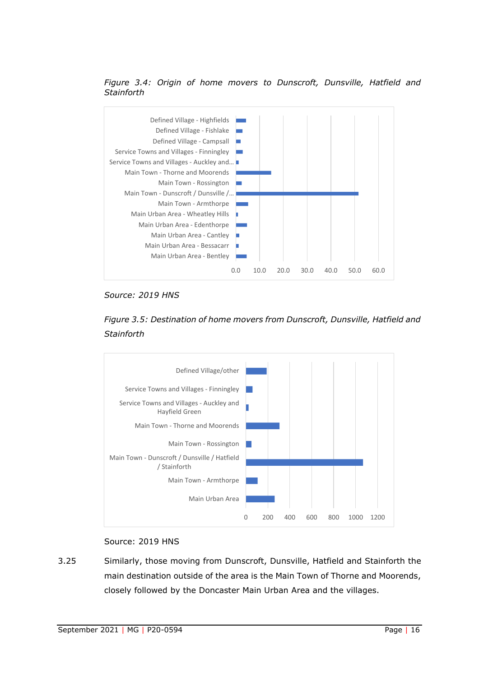#### *Figure 3.4: Origin of home movers to Dunscroft, Dunsville, Hatfield and Stainforth*



*Source: 2019 HNS*





#### Source: 2019 HNS

3.25 Similarly, those moving from Dunscroft, Dunsville, Hatfield and Stainforth the main destination outside of the area is the Main Town of Thorne and Moorends, closely followed by the Doncaster Main Urban Area and the villages.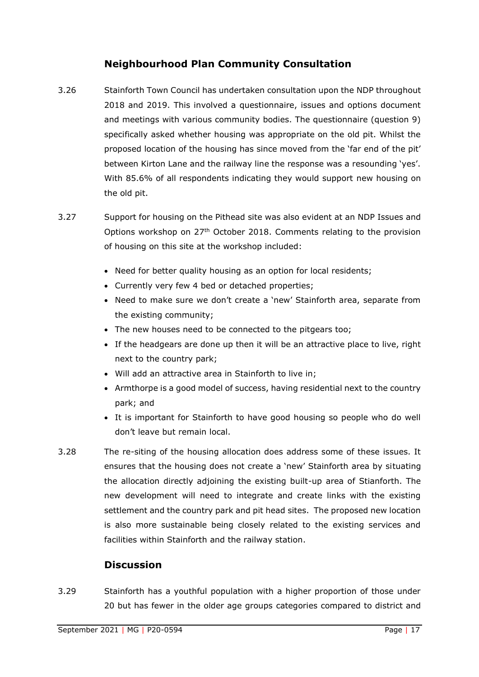## **Neighbourhood Plan Community Consultation**

- 3.26 Stainforth Town Council has undertaken consultation upon the NDP throughout 2018 and 2019. This involved a questionnaire, issues and options document and meetings with various community bodies. The questionnaire (question 9) specifically asked whether housing was appropriate on the old pit. Whilst the proposed location of the housing has since moved from the 'far end of the pit' between Kirton Lane and the railway line the response was a resounding 'yes'. With 85.6% of all respondents indicating they would support new housing on the old pit.
- 3.27 Support for housing on the Pithead site was also evident at an NDP Issues and Options workshop on  $27<sup>th</sup>$  October 2018. Comments relating to the provision of housing on this site at the workshop included:
	- Need for better quality housing as an option for local residents;
	- Currently very few 4 bed or detached properties;
	- Need to make sure we don't create a 'new' Stainforth area, separate from the existing community;
	- The new houses need to be connected to the pitgears too;
	- If the headgears are done up then it will be an attractive place to live, right next to the country park;
	- Will add an attractive area in Stainforth to live in;
	- Armthorpe is a good model of success, having residential next to the country park; and
	- It is important for Stainforth to have good housing so people who do well don't leave but remain local.
- 3.28 The re-siting of the housing allocation does address some of these issues. It ensures that the housing does not create a 'new' Stainforth area by situating the allocation directly adjoining the existing built-up area of Stianforth. The new development will need to integrate and create links with the existing settlement and the country park and pit head sites. The proposed new location is also more sustainable being closely related to the existing services and facilities within Stainforth and the railway station.

## **Discussion**

3.29 Stainforth has a youthful population with a higher proportion of those under 20 but has fewer in the older age groups categories compared to district and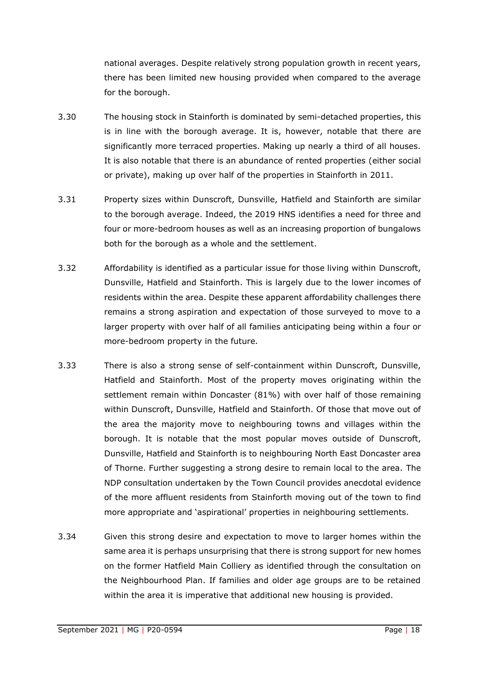national averages. Despite relatively strong population growth in recent years, there has been limited new housing provided when compared to the average for the borough.

- 3.30 The housing stock in Stainforth is dominated by semi-detached properties, this is in line with the borough average. It is, however, notable that there are significantly more terraced properties. Making up nearly a third of all houses. It is also notable that there is an abundance of rented properties (either social or private), making up over half of the properties in Stainforth in 2011.
- 3.31 Property sizes within Dunscroft, Dunsville, Hatfield and Stainforth are similar to the borough average. Indeed, the 2019 HNS identifies a need for three and four or more-bedroom houses as well as an increasing proportion of bungalows both for the borough as a whole and the settlement.
- 3.32 Affordability is identified as a particular issue for those living within Dunscroft, Dunsville, Hatfield and Stainforth. This is largely due to the lower incomes of residents within the area. Despite these apparent affordability challenges there remains a strong aspiration and expectation of those surveyed to move to a larger property with over half of all families anticipating being within a four or more-bedroom property in the future.
- 3.33 There is also a strong sense of self-containment within Dunscroft, Dunsville, Hatfield and Stainforth. Most of the property moves originating within the settlement remain within Doncaster (81%) with over half of those remaining within Dunscroft, Dunsville, Hatfield and Stainforth. Of those that move out of the area the majority move to neighbouring towns and villages within the borough. It is notable that the most popular moves outside of Dunscroft, Dunsville, Hatfield and Stainforth is to neighbouring North East Doncaster area of Thorne. Further suggesting a strong desire to remain local to the area. The NDP consultation undertaken by the Town Council provides anecdotal evidence of the more affluent residents from Stainforth moving out of the town to find more appropriate and 'aspirational' properties in neighbouring settlements.
- 3.34 Given this strong desire and expectation to move to larger homes within the same area it is perhaps unsurprising that there is strong support for new homes on the former Hatfield Main Colliery as identified through the consultation on the Neighbourhood Plan. If families and older age groups are to be retained within the area it is imperative that additional new housing is provided.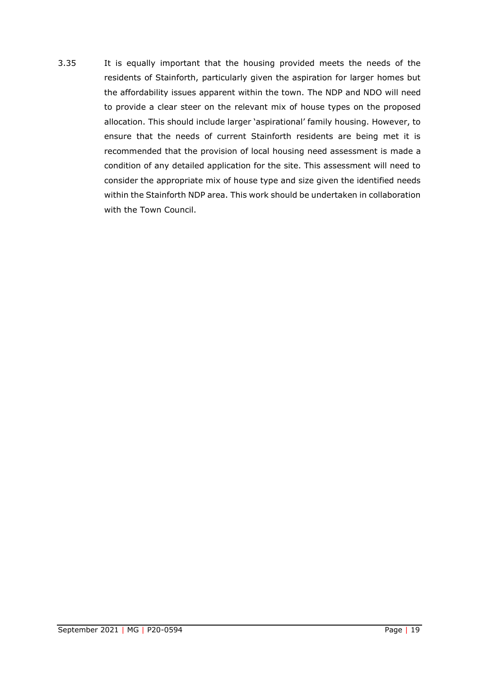3.35 It is equally important that the housing provided meets the needs of the residents of Stainforth, particularly given the aspiration for larger homes but the affordability issues apparent within the town. The NDP and NDO will need to provide a clear steer on the relevant mix of house types on the proposed allocation. This should include larger 'aspirational' family housing. However, to ensure that the needs of current Stainforth residents are being met it is recommended that the provision of local housing need assessment is made a condition of any detailed application for the site. This assessment will need to consider the appropriate mix of house type and size given the identified needs within the Stainforth NDP area. This work should be undertaken in collaboration with the Town Council.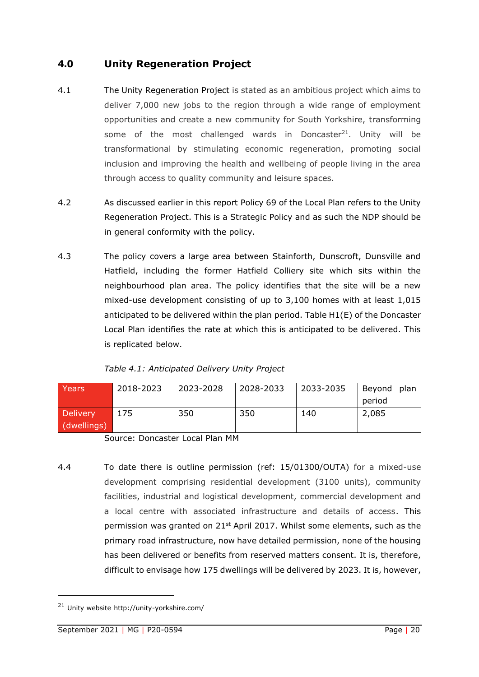## <span id="page-21-0"></span>**4.0 Unity Regeneration Project**

- 4.1 The Unity Regeneration Project is stated as an ambitious project which aims to deliver 7,000 new jobs to the region through a wide range of employment opportunities and create a new community for South Yorkshire, transforming some of the most challenged wards in Doncaster<sup>21</sup>. Unity will be transformational by stimulating economic regeneration, promoting social inclusion and improving the health and wellbeing of people living in the area through access to quality community and leisure spaces.
- 4.2 As discussed earlier in this report Policy 69 of the Local Plan refers to the Unity Regeneration Project. This is a Strategic Policy and as such the NDP should be in general conformity with the policy.
- 4.3 The policy covers a large area between Stainforth, Dunscroft, Dunsville and Hatfield, including the former Hatfield Colliery site which sits within the neighbourhood plan area. The policy identifies that the site will be a new mixed-use development consisting of up to 3,100 homes with at least 1,015 anticipated to be delivered within the plan period. Table H1(E) of the Doncaster Local Plan identifies the rate at which this is anticipated to be delivered. This is replicated below.

| Years           | 2018-2023 | 2023-2028 | 2028-2033 | 2033-2035 | plan<br>Beyond |
|-----------------|-----------|-----------|-----------|-----------|----------------|
|                 |           |           |           |           | period         |
| <b>Delivery</b> | 175       | 350       | 350       | 140       | 2,085          |
| (dwellings)     |           |           |           |           |                |

Source: Doncaster Local Plan MM

4.4 To date there is outline permission (ref: 15/01300/OUTA) for a mixed-use development comprising residential development (3100 units), community facilities, industrial and logistical development, commercial development and a local centre with associated infrastructure and details of access. This permission was granted on  $21^{st}$  April 2017. Whilst some elements, such as the primary road infrastructure, now have detailed permission, none of the housing has been delivered or benefits from reserved matters consent. It is, therefore, difficult to envisage how 175 dwellings will be delivered by 2023. It is, however,

<sup>21</sup> Unity website http://unity-yorkshire.com/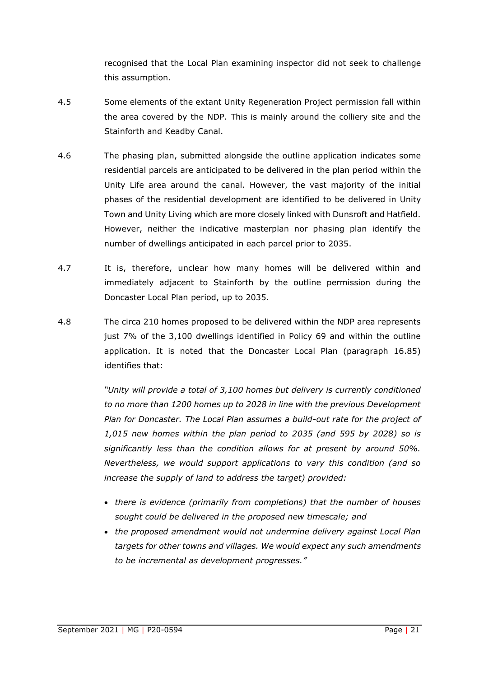recognised that the Local Plan examining inspector did not seek to challenge this assumption.

- 4.5 Some elements of the extant Unity Regeneration Project permission fall within the area covered by the NDP. This is mainly around the colliery site and the Stainforth and Keadby Canal.
- 4.6 The phasing plan, submitted alongside the outline application indicates some residential parcels are anticipated to be delivered in the plan period within the Unity Life area around the canal. However, the vast majority of the initial phases of the residential development are identified to be delivered in Unity Town and Unity Living which are more closely linked with Dunsroft and Hatfield. However, neither the indicative masterplan nor phasing plan identify the number of dwellings anticipated in each parcel prior to 2035.
- 4.7 It is, therefore, unclear how many homes will be delivered within and immediately adjacent to Stainforth by the outline permission during the Doncaster Local Plan period, up to 2035.
- 4.8 The circa 210 homes proposed to be delivered within the NDP area represents just 7% of the 3,100 dwellings identified in Policy 69 and within the outline application. It is noted that the Doncaster Local Plan (paragraph 16.85) identifies that:

*"Unity will provide a total of 3,100 homes but delivery is currently conditioned to no more than 1200 homes up to 2028 in line with the previous Development Plan for Doncaster. The Local Plan assumes a build-out rate for the project of 1,015 new homes within the plan period to 2035 (and 595 by 2028) so is significantly less than the condition allows for at present by around 50%. Nevertheless, we would support applications to vary this condition (and so increase the supply of land to address the target) provided:* 

- *there is evidence (primarily from completions) that the number of houses sought could be delivered in the proposed new timescale; and*
- *the proposed amendment would not undermine delivery against Local Plan targets for other towns and villages. We would expect any such amendments to be incremental as development progresses."*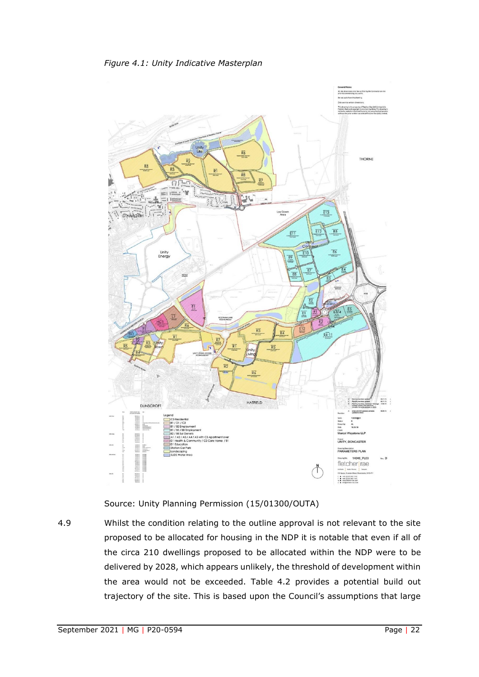

Source: Unity Planning Permission (15/01300/OUTA)

4.9 Whilst the condition relating to the outline approval is not relevant to the site proposed to be allocated for housing in the NDP it is notable that even if all of the circa 210 dwellings proposed to be allocated within the NDP were to be delivered by 2028, which appears unlikely, the threshold of development within the area would not be exceeded. Table 4.2 provides a potential build out trajectory of the site. This is based upon the Council's assumptions that large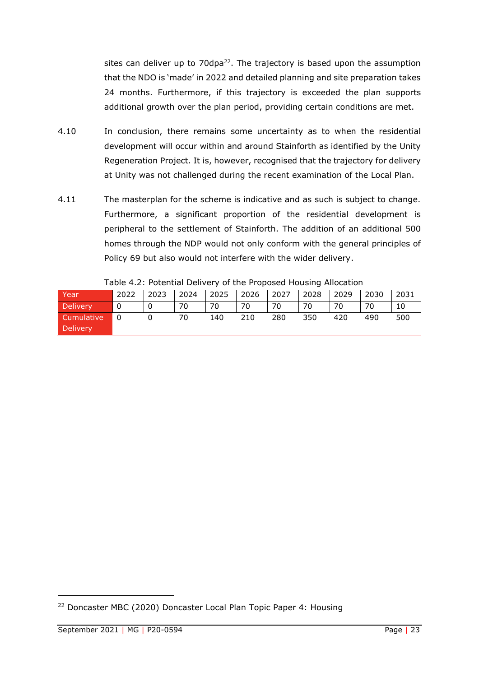sites can deliver up to 70dpa<sup>22</sup>. The trajectory is based upon the assumption that the NDO is 'made' in 2022 and detailed planning and site preparation takes 24 months. Furthermore, if this trajectory is exceeded the plan supports additional growth over the plan period, providing certain conditions are met.

- 4.10 In conclusion, there remains some uncertainty as to when the residential development will occur within and around Stainforth as identified by the Unity Regeneration Project. It is, however, recognised that the trajectory for delivery at Unity was not challenged during the recent examination of the Local Plan.
- 4.11 The masterplan for the scheme is indicative and as such is subject to change. Furthermore, a significant proportion of the residential development is peripheral to the settlement of Stainforth. The addition of an additional 500 homes through the NDP would not only conform with the general principles of Policy 69 but also would not interfere with the wider delivery.

|                 |      |             |             |     | $\sim$ 0.000 $\sim$ 0.000 $\sim$ 0.000 $\sim$ 0.000 $\sim$ 0.000 $\sim$ 0.000 $\sim$ 0.000 $\sim$ 0.000 $\sim$ 0.000 0.000 0.000 0.000 0.000 0.000 0.000 0.000 0.000 0.000 0.000 0.000 0.000 0.000 0.000 0.000 0.000 0.000 0.000 0.000 0.000 0. |     |     |     |      |      |
|-----------------|------|-------------|-------------|-----|-------------------------------------------------------------------------------------------------------------------------------------------------------------------------------------------------------------------------------------------------|-----|-----|-----|------|------|
| Year            | 2022 | $\mid$ 2023 | $\mid$ 2024 |     | 2025   2026   2027   2028   2029                                                                                                                                                                                                                |     |     |     | 2030 | 2031 |
| Delivery        | - 0  |             | 70          | 70  | 70                                                                                                                                                                                                                                              | 70  | 70  | 70  | 70   |      |
| Cumulative      | - 0  |             | 70          | 140 | 210                                                                                                                                                                                                                                             | 280 | 350 | 420 | 490  | 500  |
| <b>Delivery</b> |      |             |             |     |                                                                                                                                                                                                                                                 |     |     |     |      |      |

| Table 4.2: Potential Delivery of the Proposed Housing Allocation |  |  |  |  |
|------------------------------------------------------------------|--|--|--|--|
|------------------------------------------------------------------|--|--|--|--|

<sup>&</sup>lt;sup>22</sup> Doncaster MBC (2020) Doncaster Local Plan Topic Paper 4: Housing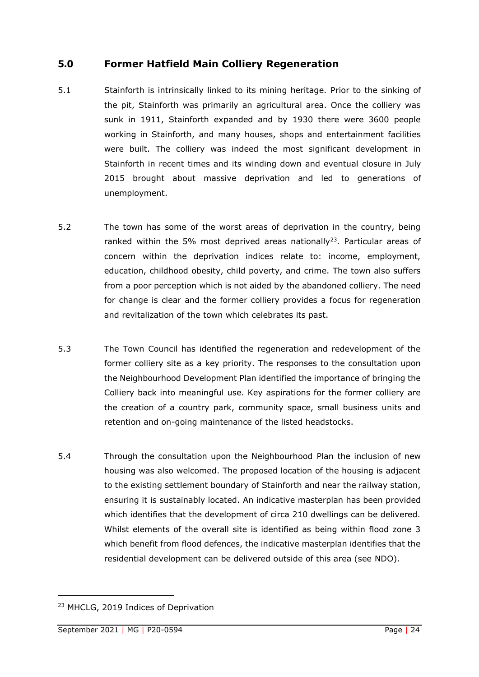## <span id="page-25-0"></span>**5.0 Former Hatfield Main Colliery Regeneration**

- 5.1 Stainforth is intrinsically linked to its mining heritage. Prior to the sinking of the pit, Stainforth was primarily an agricultural area. Once the colliery was sunk in 1911, Stainforth expanded and by 1930 there were 3600 people working in Stainforth, and many houses, shops and entertainment facilities were built. The colliery was indeed the most significant development in Stainforth in recent times and its winding down and eventual closure in July 2015 brought about massive deprivation and led to generations of unemployment.
- 5.2 The town has some of the worst areas of deprivation in the country, being ranked within the 5% most deprived areas nationally<sup>23</sup>. Particular areas of concern within the deprivation indices relate to: income, employment, education, childhood obesity, child poverty, and crime. The town also suffers from a poor perception which is not aided by the abandoned colliery. The need for change is clear and the former colliery provides a focus for regeneration and revitalization of the town which celebrates its past.
- 5.3 The Town Council has identified the regeneration and redevelopment of the former colliery site as a key priority. The responses to the consultation upon the Neighbourhood Development Plan identified the importance of bringing the Colliery back into meaningful use. Key aspirations for the former colliery are the creation of a country park, community space, small business units and retention and on-going maintenance of the listed headstocks.
- 5.4 Through the consultation upon the Neighbourhood Plan the inclusion of new housing was also welcomed. The proposed location of the housing is adjacent to the existing settlement boundary of Stainforth and near the railway station, ensuring it is sustainably located. An indicative masterplan has been provided which identifies that the development of circa 210 dwellings can be delivered. Whilst elements of the overall site is identified as being within flood zone 3 which benefit from flood defences, the indicative masterplan identifies that the residential development can be delivered outside of this area (see NDO).

<sup>23</sup> MHCLG, 2019 Indices of Deprivation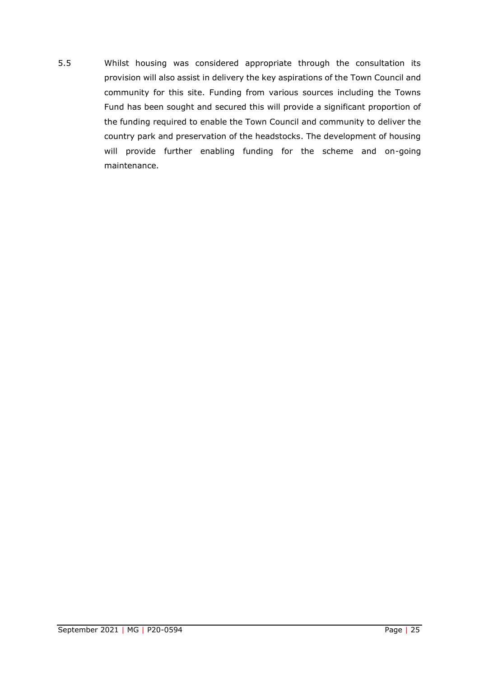5.5 Whilst housing was considered appropriate through the consultation its provision will also assist in delivery the key aspirations of the Town Council and community for this site. Funding from various sources including the Towns Fund has been sought and secured this will provide a significant proportion of the funding required to enable the Town Council and community to deliver the country park and preservation of the headstocks. The development of housing will provide further enabling funding for the scheme and on-going maintenance.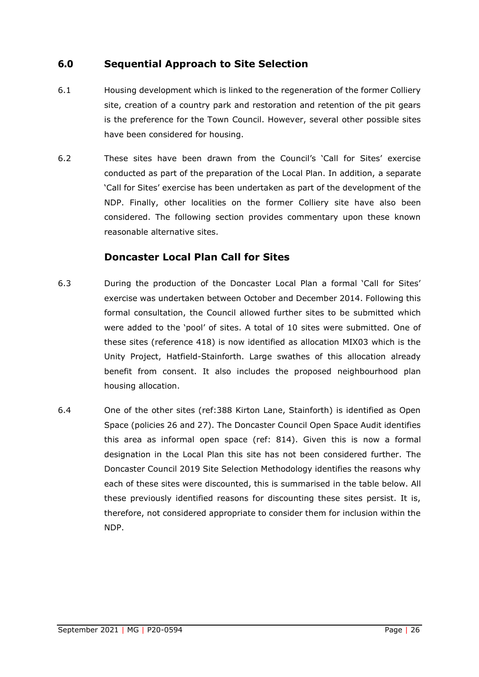## <span id="page-27-0"></span>**6.0 Sequential Approach to Site Selection**

- 6.1 Housing development which is linked to the regeneration of the former Colliery site, creation of a country park and restoration and retention of the pit gears is the preference for the Town Council. However, several other possible sites have been considered for housing.
- 6.2 These sites have been drawn from the Council's 'Call for Sites' exercise conducted as part of the preparation of the Local Plan. In addition, a separate 'Call for Sites' exercise has been undertaken as part of the development of the NDP. Finally, other localities on the former Colliery site have also been considered. The following section provides commentary upon these known reasonable alternative sites.

### **Doncaster Local Plan Call for Sites**

- 6.3 During the production of the Doncaster Local Plan a formal 'Call for Sites' exercise was undertaken between October and December 2014. Following this formal consultation, the Council allowed further sites to be submitted which were added to the 'pool' of sites. A total of 10 sites were submitted. One of these sites (reference 418) is now identified as allocation MIX03 which is the Unity Project, Hatfield-Stainforth. Large swathes of this allocation already benefit from consent. It also includes the proposed neighbourhood plan housing allocation.
- 6.4 One of the other sites (ref:388 Kirton Lane, Stainforth) is identified as Open Space (policies 26 and 27). The Doncaster Council Open Space Audit identifies this area as informal open space (ref: 814). Given this is now a formal designation in the Local Plan this site has not been considered further. The Doncaster Council 2019 Site Selection Methodology identifies the reasons why each of these sites were discounted, this is summarised in the table below. All these previously identified reasons for discounting these sites persist. It is, therefore, not considered appropriate to consider them for inclusion within the NDP.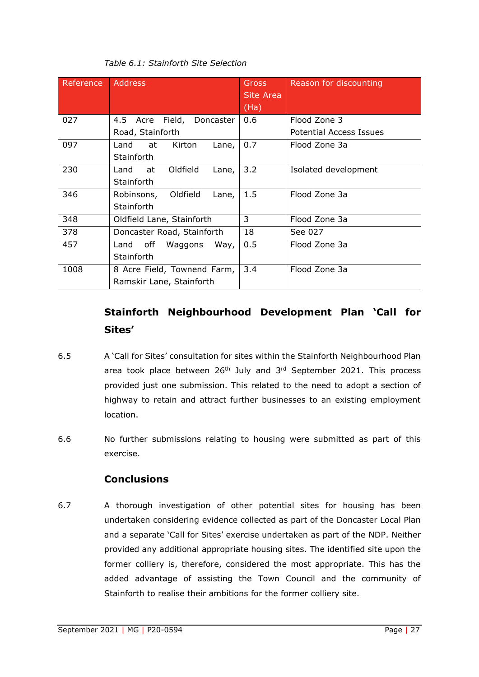| Reference | <b>Address</b>                  | Gross<br>Site Area | Reason for discounting  |
|-----------|---------------------------------|--------------------|-------------------------|
|           |                                 | (Ha)               |                         |
| 027       | 4.5 Acre Field, Doncaster       | 0.6                | Flood Zone 3            |
|           | Road, Stainforth                |                    | Potential Access Issues |
| 097       | Kirton<br>Land<br>at<br>Lane,   | 0.7                | Flood Zone 3a           |
|           | Stainforth                      |                    |                         |
| 230       | Oldfield<br>at<br>Land<br>Lane, | 3.2                | Isolated development    |
|           | Stainforth                      |                    |                         |
| 346       | Robinsons, Oldfield<br>Lane,    | 1.5                | Flood Zone 3a           |
|           | Stainforth                      |                    |                         |
| 348       | Oldfield Lane, Stainforth       | 3                  | Flood Zone 3a           |
| 378       | Doncaster Road, Stainforth      | 18                 | See 027                 |
| 457       | off<br>Waggons<br>Way,<br>Land  | 0.5                | Flood Zone 3a           |
|           | Stainforth                      |                    |                         |
| 1008      | 8 Acre Field, Townend Farm,     | 3.4                | Flood Zone 3a           |
|           | Ramskir Lane, Stainforth        |                    |                         |

#### *Table 6.1: Stainforth Site Selection*

## **Stainforth Neighbourhood Development Plan 'Call for Sites'**

- 6.5 A 'Call for Sites' consultation for sites within the Stainforth Neighbourhood Plan area took place between  $26<sup>th</sup>$  July and  $3<sup>rd</sup>$  September 2021. This process provided just one submission. This related to the need to adopt a section of highway to retain and attract further businesses to an existing employment location.
- 6.6 No further submissions relating to housing were submitted as part of this exercise.

## **Conclusions**

6.7 A thorough investigation of other potential sites for housing has been undertaken considering evidence collected as part of the Doncaster Local Plan and a separate 'Call for Sites' exercise undertaken as part of the NDP. Neither provided any additional appropriate housing sites. The identified site upon the former colliery is, therefore, considered the most appropriate. This has the added advantage of assisting the Town Council and the community of Stainforth to realise their ambitions for the former colliery site.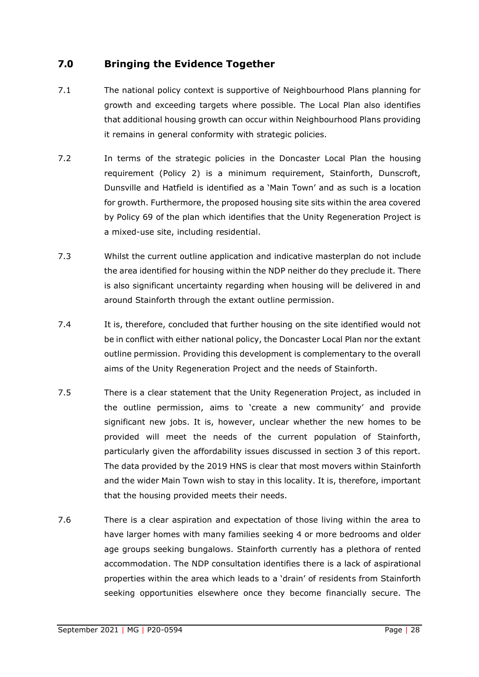## <span id="page-29-0"></span>**7.0 Bringing the Evidence Together**

- 7.1 The national policy context is supportive of Neighbourhood Plans planning for growth and exceeding targets where possible. The Local Plan also identifies that additional housing growth can occur within Neighbourhood Plans providing it remains in general conformity with strategic policies.
- 7.2 In terms of the strategic policies in the Doncaster Local Plan the housing requirement (Policy 2) is a minimum requirement, Stainforth, Dunscroft, Dunsville and Hatfield is identified as a 'Main Town' and as such is a location for growth. Furthermore, the proposed housing site sits within the area covered by Policy 69 of the plan which identifies that the Unity Regeneration Project is a mixed-use site, including residential.
- 7.3 Whilst the current outline application and indicative masterplan do not include the area identified for housing within the NDP neither do they preclude it. There is also significant uncertainty regarding when housing will be delivered in and around Stainforth through the extant outline permission.
- 7.4 It is, therefore, concluded that further housing on the site identified would not be in conflict with either national policy, the Doncaster Local Plan nor the extant outline permission. Providing this development is complementary to the overall aims of the Unity Regeneration Project and the needs of Stainforth.
- 7.5 There is a clear statement that the Unity Regeneration Project, as included in the outline permission, aims to 'create a new community' and provide significant new jobs. It is, however, unclear whether the new homes to be provided will meet the needs of the current population of Stainforth, particularly given the affordability issues discussed in section 3 of this report. The data provided by the 2019 HNS is clear that most movers within Stainforth and the wider Main Town wish to stay in this locality. It is, therefore, important that the housing provided meets their needs.
- 7.6 There is a clear aspiration and expectation of those living within the area to have larger homes with many families seeking 4 or more bedrooms and older age groups seeking bungalows. Stainforth currently has a plethora of rented accommodation. The NDP consultation identifies there is a lack of aspirational properties within the area which leads to a 'drain' of residents from Stainforth seeking opportunities elsewhere once they become financially secure. The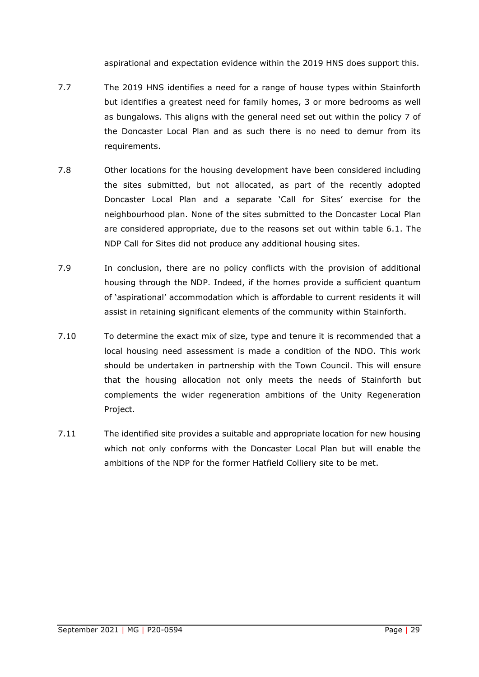aspirational and expectation evidence within the 2019 HNS does support this.

- 7.7 The 2019 HNS identifies a need for a range of house types within Stainforth but identifies a greatest need for family homes, 3 or more bedrooms as well as bungalows. This aligns with the general need set out within the policy 7 of the Doncaster Local Plan and as such there is no need to demur from its requirements.
- 7.8 Other locations for the housing development have been considered including the sites submitted, but not allocated, as part of the recently adopted Doncaster Local Plan and a separate 'Call for Sites' exercise for the neighbourhood plan. None of the sites submitted to the Doncaster Local Plan are considered appropriate, due to the reasons set out within table 6.1. The NDP Call for Sites did not produce any additional housing sites.
- 7.9 In conclusion, there are no policy conflicts with the provision of additional housing through the NDP. Indeed, if the homes provide a sufficient quantum of 'aspirational' accommodation which is affordable to current residents it will assist in retaining significant elements of the community within Stainforth.
- 7.10 To determine the exact mix of size, type and tenure it is recommended that a local housing need assessment is made a condition of the NDO. This work should be undertaken in partnership with the Town Council. This will ensure that the housing allocation not only meets the needs of Stainforth but complements the wider regeneration ambitions of the Unity Regeneration Project.
- 7.11 The identified site provides a suitable and appropriate location for new housing which not only conforms with the Doncaster Local Plan but will enable the ambitions of the NDP for the former Hatfield Colliery site to be met.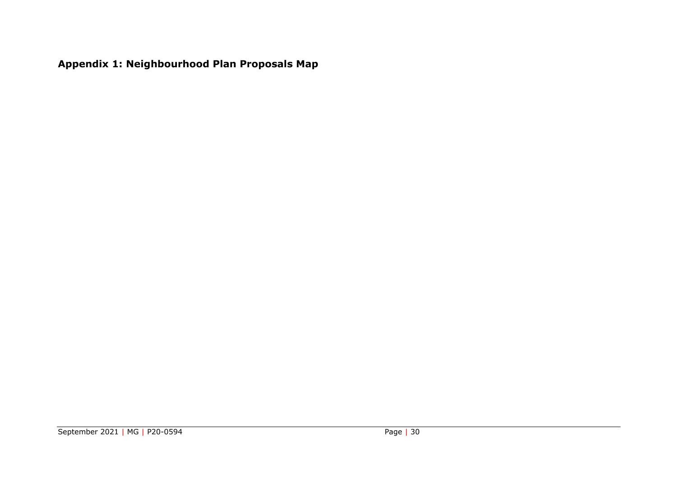<span id="page-31-0"></span>**Appendix 1: Neighbourhood Plan Proposals Map**